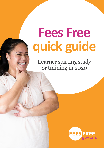# **Fees Free quick guide**

Learner starting study or training in 2020